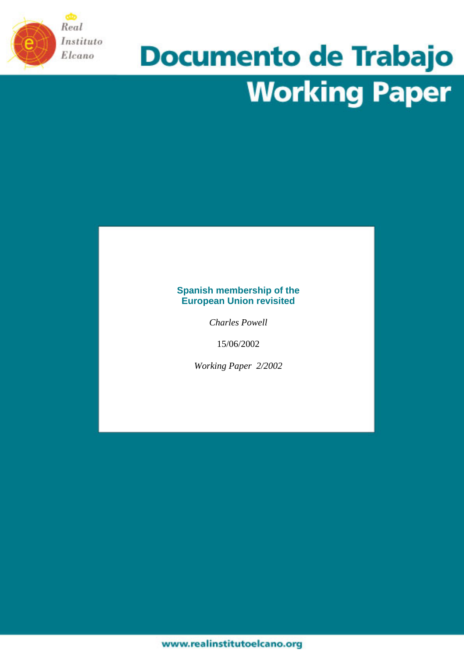

# **Documento de Trabajo Working Paper**

## **Spanish membership of the European Union revisited**

*Charles Powell* 

15/06/2002

*Working Paper 2/2002*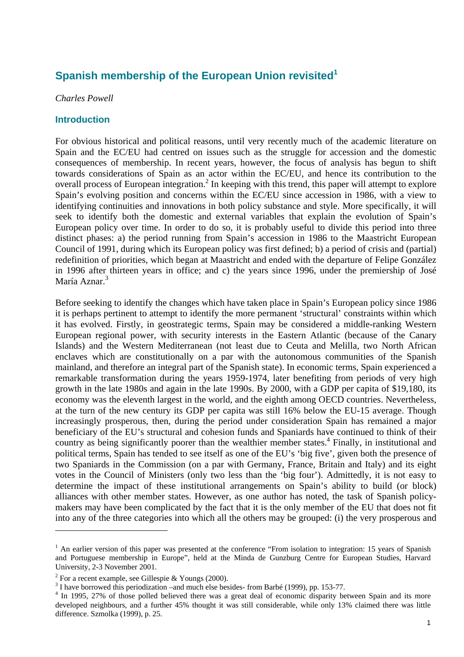# **Spanish membership of the European Union revisited[1](#page-1-0)**

#### *Charles Powell*

#### **Introduction**

For obvious historical and political reasons, until very recently much of the academic literature on Spain and the EC/EU had centred on issues such as the struggle for accession and the domestic consequences of membership. In recent years, however, the focus of analysis has begun to shift towards considerations of Spain as an actor within the EC/EU, and hence its contribution to the overall process of European integration.<sup>[2](#page-1-1)</sup> In keeping with this trend, this paper will attempt to explore Spain's evolving position and concerns within the EC/EU since accession in 1986, with a view to identifying continuities and innovations in both policy substance and style. More specifically, it will seek to identify both the domestic and external variables that explain the evolution of Spain's European policy over time. In order to do so, it is probably useful to divide this period into three distinct phases: a) the period running from Spain's accession in 1986 to the Maastricht European Council of 1991, during which its European policy was first defined; b) a period of crisis and (partial) redefinition of priorities, which began at Maastricht and ended with the departure of Felipe González in 1996 after thirteen years in office; and c) the years since 1996, under the premiership of José María Aznar.<sup>[3](#page-1-2)</sup>

Before seeking to identify the changes which have taken place in Spain's European policy since 1986 it is perhaps pertinent to attempt to identify the more permanent 'structural' constraints within which it has evolved. Firstly, in geostrategic terms, Spain may be considered a middle-ranking Western European regional power, with security interests in the Eastern Atlantic (because of the Canary Islands) and the Western Mediterranean (not least due to Ceuta and Melilla, two North African enclaves which are constitutionally on a par with the autonomous communities of the Spanish mainland, and therefore an integral part of the Spanish state). In economic terms, Spain experienced a remarkable transformation during the years 1959-1974, later benefiting from periods of very high growth in the late 1980s and again in the late 1990s. By 2000, with a GDP per capita of \$19,180, its economy was the eleventh largest in the world, and the eighth among OECD countries. Nevertheless, at the turn of the new century its GDP per capita was still 16% below the EU-15 average. Though increasingly prosperous, then, during the period under consideration Spain has remained a major beneficiary of the EU's structural and cohesion funds and Spaniards have continued to think of their countryas being significantly poorer than the wealthier member states.<sup>4</sup> Finally, in institutional and political terms, Spain has tended to see itself as one of the EU's 'big five', given both the presence of two Spaniards in the Commission (on a par with Germany, France, Britain and Italy) and its eight votes in the Council of Ministers (only two less than the 'big four'). Admittedly, it is not easy to determine the impact of these institutional arrangements on Spain's ability to build (or block) alliances with other member states. However, as one author has noted, the task of Spanish policymakers may have been complicated by the fact that it is the only member of the EU that does not fit into any of the three categories into which all the others may be grouped: (i) the very prosperous and

<span id="page-1-0"></span> $<sup>1</sup>$  An earlier version of this paper was presented at the conference "From isolation to integration: 15 years of Spanish</sup> and Portuguese membership in Europe", held at the Minda de Gunzburg Centre for European Studies, Harvard University, 2-3 November 2001.

<span id="page-1-1"></span><sup>&</sup>lt;sup>2</sup> For a recent example, see Gillespie & Youngs (2000).

<span id="page-1-2"></span> $3$  I have borrowed this periodization –and much else besides-from Barbé (1999), pp. 153-77.

<span id="page-1-3"></span><sup>&</sup>lt;sup>4</sup> In 1995, 27% of those polled believed there was a great deal of economic disparity between Spain and its more developed neighbours, and a further 45% thought it was still considerable, while only 13% claimed there was little difference. Szmolka (1999), p. 25.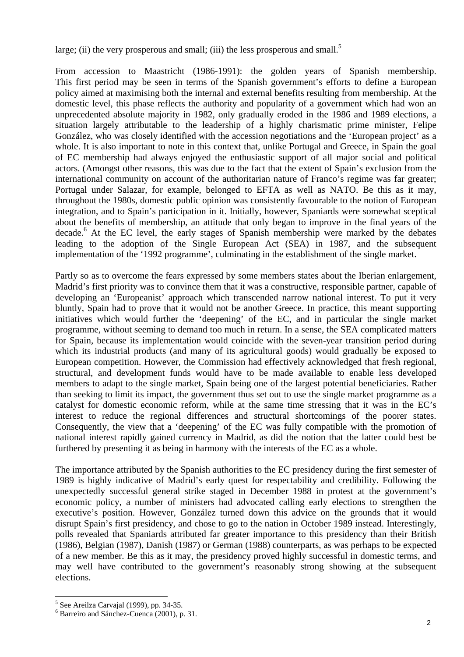large; (ii) the very prosperous and small; (iii) the less prosperous and small.<sup>[5](#page-2-0)</sup>

From accession to Maastricht (1986-1991): the golden years of Spanish membership. This first period may be seen in terms of the Spanish government's efforts to define a European policy aimed at maximising both the internal and external benefits resulting from membership. At the domestic level, this phase reflects the authority and popularity of a government which had won an unprecedented absolute majority in 1982, only gradually eroded in the 1986 and 1989 elections, a situation largely attributable to the leadership of a highly charismatic prime minister, Felipe González, who was closely identified with the accession negotiations and the 'European project' as a whole. It is also important to note in this context that, unlike Portugal and Greece, in Spain the goal of EC membership had always enjoyed the enthusiastic support of all major social and political actors. (Amongst other reasons, this was due to the fact that the extent of Spain's exclusion from the international community on account of the authoritarian nature of Franco's regime was far greater; Portugal under Salazar, for example, belonged to EFTA as well as NATO. Be this as it may, throughout the 1980s, domestic public opinion was consistently favourable to the notion of European integration, and to Spain's participation in it. Initially, however, Spaniards were somewhat sceptical about the benefits of membership, an attitude that only began to improve in the final years of the decade.<sup>6</sup> At the EC level, the early stages of Spanish membership were marked by the debates leading to the adoption of the Single European Act (SEA) in 1987, and the subsequent implementation of the '1992 programme', culminating in the establishment of the single market.

Partly so as to overcome the fears expressed by some members states about the Iberian enlargement, Madrid's first priority was to convince them that it was a constructive, responsible partner, capable of developing an 'Europeanist' approach which transcended narrow national interest. To put it very bluntly, Spain had to prove that it would not be another Greece. In practice, this meant supporting initiatives which would further the 'deepening' of the EC, and in particular the single market programme, without seeming to demand too much in return. In a sense, the SEA complicated matters for Spain, because its implementation would coincide with the seven-year transition period during which its industrial products (and many of its agricultural goods) would gradually be exposed to European competition. However, the Commission had effectively acknowledged that fresh regional, structural, and development funds would have to be made available to enable less developed members to adapt to the single market, Spain being one of the largest potential beneficiaries. Rather than seeking to limit its impact, the government thus set out to use the single market programme as a catalyst for domestic economic reform, while at the same time stressing that it was in the EC's interest to reduce the regional differences and structural shortcomings of the poorer states. Consequently, the view that a 'deepening' of the EC was fully compatible with the promotion of national interest rapidly gained currency in Madrid, as did the notion that the latter could best be furthered by presenting it as being in harmony with the interests of the EC as a whole.

The importance attributed by the Spanish authorities to the EC presidency during the first semester of 1989 is highly indicative of Madrid's early quest for respectability and credibility. Following the unexpectedly successful general strike staged in December 1988 in protest at the government's economic policy, a number of ministers had advocated calling early elections to strengthen the executive's position. However, González turned down this advice on the grounds that it would disrupt Spain's first presidency, and chose to go to the nation in October 1989 instead. Interestingly, polls revealed that Spaniards attributed far greater importance to this presidency than their British (1986), Belgian (1987), Danish (1987) or German (1988) counterparts, as was perhaps to be expected of a new member. Be this as it may, the presidency proved highly successful in domestic terms, and may well have contributed to the government's reasonably strong showing at the subsequent elections.

 $\overline{a}$  $<sup>5</sup>$  See Areilza Carvajal (1999), pp. 34-35.</sup>

<span id="page-2-1"></span><span id="page-2-0"></span><sup>6</sup> Barreiro and Sánchez-Cuenca (2001), p. 31.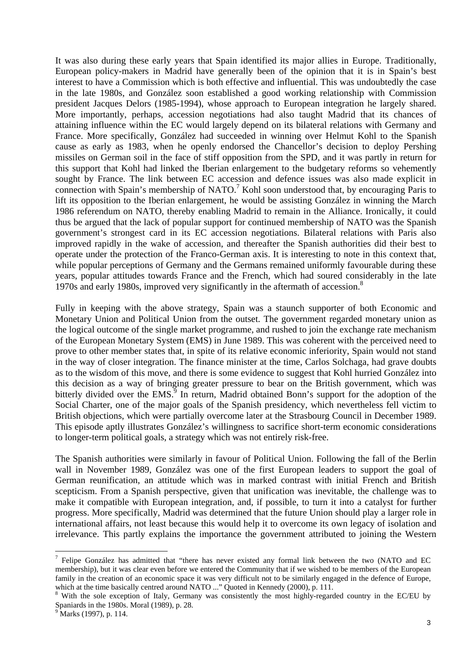It was also during these early years that Spain identified its major allies in Europe. Traditionally, European policy-makers in Madrid have generally been of the opinion that it is in Spain's best interest to have a Commission which is both effective and influential. This was undoubtedly the case in the late 1980s, and González soon established a good working relationship with Commission president Jacques Delors (1985-1994), whose approach to European integration he largely shared. More importantly, perhaps, accession negotiations had also taught Madrid that its chances of attaining influence within the EC would largely depend on its bilateral relations with Germany and France. More specifically, González had succeeded in winning over Helmut Kohl to the Spanish cause as early as 1983, when he openly endorsed the Chancellor's decision to deploy Pershing missiles on German soil in the face of stiff opposition from the SPD, and it was partly in return for this support that Kohl had linked the Iberian enlargement to the budgetary reforms so vehemently sought by France. The link between EC accession and defence issues was also made explicit in connectionwith Spain's membership of NATO.<sup>7</sup> Kohl soon understood that, by encouraging Paris to lift its opposition to the Iberian enlargement, he would be assisting González in winning the March 1986 referendum on NATO, thereby enabling Madrid to remain in the Alliance. Ironically, it could thus be argued that the lack of popular support for continued membership of NATO was the Spanish government's strongest card in its EC accession negotiations. Bilateral relations with Paris also improved rapidly in the wake of accession, and thereafter the Spanish authorities did their best to operate under the protection of the Franco-German axis. It is interesting to note in this context that, while popular perceptions of Germany and the Germans remained uniformly favourable during these years, popular attitudes towards France and the French, which had soured considerably in the late 1970s and early 19[8](#page-3-1)0s, improved very significantly in the aftermath of accession.<sup>8</sup>

Fully in keeping with the above strategy, Spain was a staunch supporter of both Economic and Monetary Union and Political Union from the outset. The government regarded monetary union as the logical outcome of the single market programme, and rushed to join the exchange rate mechanism of the European Monetary System (EMS) in June 1989. This was coherent with the perceived need to prove to other member states that, in spite of its relative economic inferiority, Spain would not stand in the way of closer integration. The finance minister at the time, Carlos Solchaga, had grave doubts as to the wisdom of this move, and there is some evidence to suggest that Kohl hurried González into this decision as a way of bringing greater pressure to bear on the British government, which was bitterly divided over the EMS.<sup>[9](#page-3-2)</sup> In return, Madrid obtained Bonn's support for the adoption of the Social Charter, one of the major goals of the Spanish presidency, which nevertheless fell victim to British objections, which were partially overcome later at the Strasbourg Council in December 1989. This episode aptly illustrates González's willingness to sacrifice short-term economic considerations to longer-term political goals, a strategy which was not entirely risk-free.

The Spanish authorities were similarly in favour of Political Union. Following the fall of the Berlin wall in November 1989, González was one of the first European leaders to support the goal of German reunification, an attitude which was in marked contrast with initial French and British scepticism. From a Spanish perspective, given that unification was inevitable, the challenge was to make it compatible with European integration, and, if possible, to turn it into a catalyst for further progress. More specifically, Madrid was determined that the future Union should play a larger role in international affairs, not least because this would help it to overcome its own legacy of isolation and irrelevance. This partly explains the importance the government attributed to joining the Western

<span id="page-3-0"></span><sup>&</sup>lt;sup>7</sup> Felipe González has admitted that "there has never existed any formal link between the two (NATO and EC membership), but it was clear even before we entered the Community that if we wished to be members of the European family in the creation of an economic space it was very difficult not to be similarly engaged in the defence of Europe, which at the time basically centred around NATO ..." Quoted in Kennedy (2000), p. 111.

<span id="page-3-1"></span><sup>&</sup>lt;sup>8</sup> With the sole exception of Italy, Germany was consistently the most highly-regarded country in the EC/EU by Spaniards in the 1980s. Moral (1989), p. 28.

<span id="page-3-2"></span><sup>&</sup>lt;sup>9</sup> Marks (1997), p. 114.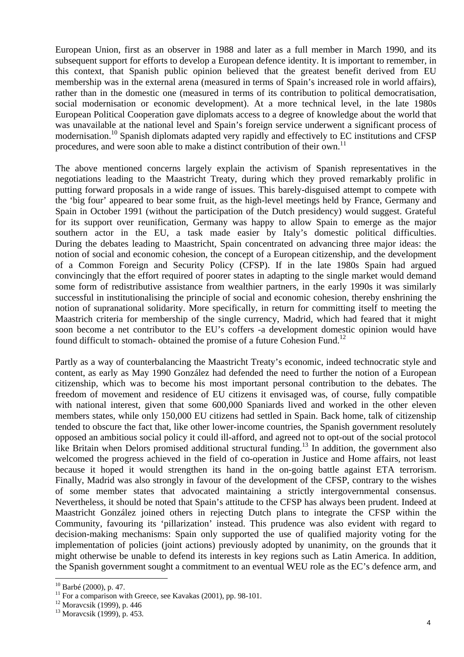European Union, first as an observer in 1988 and later as a full member in March 1990, and its subsequent support for efforts to develop a European defence identity. It is important to remember, in this context, that Spanish public opinion believed that the greatest benefit derived from EU membership was in the external arena (measured in terms of Spain's increased role in world affairs), rather than in the domestic one (measured in terms of its contribution to political democratisation, social modernisation or economic development). At a more technical level, in the late 1980s European Political Cooperation gave diplomats access to a degree of knowledge about the world that was unavailable at the national level and Spain's foreign service underwent a significant process of modernisation.[10 S](#page-4-0)panish diplomats adapted very rapidly and effectively to EC institutions and CFSP procedures, and were soon able to make a distinct contribution of their own.<sup>[11](#page-4-1)</sup>

The above mentioned concerns largely explain the activism of Spanish representatives in the negotiations leading to the Maastricht Treaty, during which they proved remarkably prolific in putting forward proposals in a wide range of issues. This barely-disguised attempt to compete with the 'big four' appeared to bear some fruit, as the high-level meetings held by France, Germany and Spain in October 1991 (without the participation of the Dutch presidency) would suggest. Grateful for its support over reunification, Germany was happy to allow Spain to emerge as the major southern actor in the EU, a task made easier by Italy's domestic political difficulties. During the debates leading to Maastricht, Spain concentrated on advancing three major ideas: the notion of social and economic cohesion, the concept of a European citizenship, and the development of a Common Foreign and Security Policy (CFSP). If in the late 1980s Spain had argued convincingly that the effort required of poorer states in adapting to the single market would demand some form of redistributive assistance from wealthier partners, in the early 1990s it was similarly successful in institutionalising the principle of social and economic cohesion, thereby enshrining the notion of supranational solidarity. More specifically, in return for committing itself to meeting the Maastrich criteria for membership of the single currency, Madrid, which had feared that it might soon become a net contributor to the EU's coffers -a development domestic opinion would have found difficult to stomach- obtained the promise of a future Cohesion Fund.<sup>[12](#page-4-2)</sup>

Partly as a way of counterbalancing the Maastricht Treaty's economic, indeed technocratic style and content, as early as May 1990 González had defended the need to further the notion of a European citizenship, which was to become his most important personal contribution to the debates. The freedom of movement and residence of EU citizens it envisaged was, of course, fully compatible with national interest, given that some  $600,000$  Spaniards lived and worked in the other eleven members states, while only 150,000 EU citizens had settled in Spain. Back home, talk of citizenship tended to obscure the fact that, like other lower-income countries, the Spanish government resolutely opposed an ambitious social policy it could ill-afford, and agreed not to opt-out of the social protocol like Britain when Delors promised additional structural funding.<sup>13</sup> In addition, the government also welcomed the progress achieved in the field of co-operation in Justice and Home affairs, not least because it hoped it would strengthen its hand in the on-going battle against ETA terrorism. Finally, Madrid was also strongly in favour of the development of the CFSP, contrary to the wishes of some member states that advocated maintaining a strictly intergovernmental consensus. Nevertheless, it should be noted that Spain's attitude to the CFSP has always been prudent. Indeed at Maastricht González joined others in rejecting Dutch plans to integrate the CFSP within the Community, favouring its 'pillarization' instead. This prudence was also evident with regard to decision-making mechanisms: Spain only supported the use of qualified majority voting for the implementation of policies (joint actions) previously adopted by unanimity, on the grounds that it might otherwise be unable to defend its interests in key regions such as Latin America. In addition, the Spanish government sought a commitment to an eventual WEU role as the EC's defence arm, and

<span id="page-4-0"></span> $10$  Barbé (2000), p. 47.

<span id="page-4-1"></span><sup>&</sup>lt;sup>11</sup> For a comparison with Greece, see Kavakas (2001), pp. 98-101.<br><sup>12</sup> Moravcsik (1999), p. 446

<span id="page-4-2"></span>

<span id="page-4-3"></span><sup>13</sup> Moravcsik (1999), p. 453.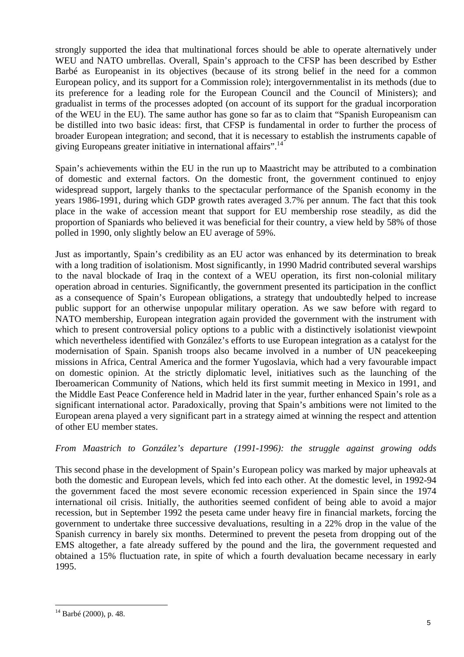strongly supported the idea that multinational forces should be able to operate alternatively under WEU and NATO umbrellas. Overall, Spain's approach to the CFSP has been described by Esther Barbé as Europeanist in its objectives (because of its strong belief in the need for a common European policy, and its support for a Commission role); intergovernmentalist in its methods (due to its preference for a leading role for the European Council and the Council of Ministers); and gradualist in terms of the processes adopted (on account of its support for the gradual incorporation of the WEU in the EU). The same author has gone so far as to claim that "Spanish Europeanism can be distilled into two basic ideas: first, that CFSP is fundamental in order to further the process of broader European integration; and second, that it is necessary to establish the instruments capable of giving Europeans greater initiative in international affairs".[14](#page-5-0)

Spain's achievements within the EU in the run up to Maastricht may be attributed to a combination of domestic and external factors. On the domestic front, the government continued to enjoy widespread support, largely thanks to the spectacular performance of the Spanish economy in the years 1986-1991, during which GDP growth rates averaged 3.7% per annum. The fact that this took place in the wake of accession meant that support for EU membership rose steadily, as did the proportion of Spaniards who believed it was beneficial for their country, a view held by 58% of those polled in 1990, only slightly below an EU average of 59%.

Just as importantly, Spain's credibility as an EU actor was enhanced by its determination to break with a long tradition of isolationism. Most significantly, in 1990 Madrid contributed several warships to the naval blockade of Iraq in the context of a WEU operation, its first non-colonial military operation abroad in centuries. Significantly, the government presented its participation in the conflict as a consequence of Spain's European obligations, a strategy that undoubtedly helped to increase public support for an otherwise unpopular military operation. As we saw before with regard to NATO membership, European integration again provided the government with the instrument with which to present controversial policy options to a public with a distinctively isolationist viewpoint which nevertheless identified with González's efforts to use European integration as a catalyst for the modernisation of Spain. Spanish troops also became involved in a number of UN peacekeeping missions in Africa, Central America and the former Yugoslavia, which had a very favourable impact on domestic opinion. At the strictly diplomatic level, initiatives such as the launching of the Iberoamerican Community of Nations, which held its first summit meeting in Mexico in 1991, and the Middle East Peace Conference held in Madrid later in the year, further enhanced Spain's role as a significant international actor. Paradoxically, proving that Spain's ambitions were not limited to the European arena played a very significant part in a strategy aimed at winning the respect and attention of other EU member states.

*From Maastrich to González's departure (1991-1996): the struggle against growing odds* 

This second phase in the development of Spain's European policy was marked by major upheavals at both the domestic and European levels, which fed into each other. At the domestic level, in 1992-94 the government faced the most severe economic recession experienced in Spain since the 1974 international oil crisis. Initially, the authorities seemed confident of being able to avoid a major recession, but in September 1992 the peseta came under heavy fire in financial markets, forcing the government to undertake three successive devaluations, resulting in a 22% drop in the value of the Spanish currency in barely six months. Determined to prevent the peseta from dropping out of the EMS altogether, a fate already suffered by the pound and the lira, the government requested and obtained a 15% fluctuation rate, in spite of which a fourth devaluation became necessary in early 1995.

<span id="page-5-0"></span> $14$  Barbé (2000), p. 48.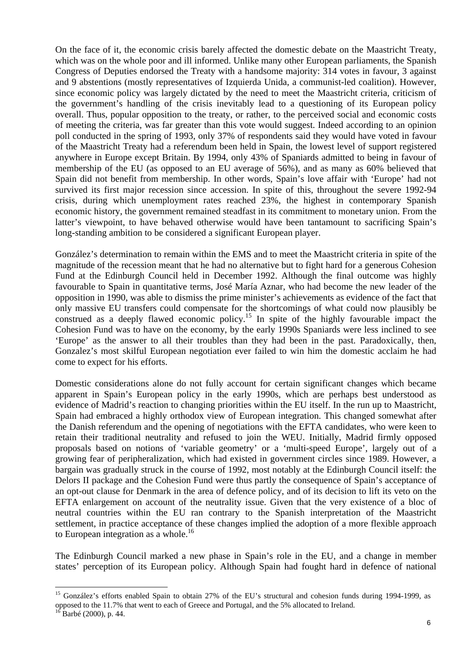On the face of it, the economic crisis barely affected the domestic debate on the Maastricht Treaty, which was on the whole poor and ill informed. Unlike many other European parliaments, the Spanish Congress of Deputies endorsed the Treaty with a handsome majority: 314 votes in favour, 3 against and 9 abstentions (mostly representatives of Izquierda Unida, a communist-led coalition). However, since economic policy was largely dictated by the need to meet the Maastricht criteria, criticism of the government's handling of the crisis inevitably lead to a questioning of its European policy overall. Thus, popular opposition to the treaty, or rather, to the perceived social and economic costs of meeting the criteria, was far greater than this vote would suggest. Indeed according to an opinion poll conducted in the spring of 1993, only 37% of respondents said they would have voted in favour of the Maastricht Treaty had a referendum been held in Spain, the lowest level of support registered anywhere in Europe except Britain. By 1994, only 43% of Spaniards admitted to being in favour of membership of the EU (as opposed to an EU average of 56%), and as many as 60% believed that Spain did not benefit from membership. In other words, Spain's love affair with 'Europe' had not survived its first major recession since accession. In spite of this, throughout the severe 1992-94 crisis, during which unemployment rates reached 23%, the highest in contemporary Spanish economic history, the government remained steadfast in its commitment to monetary union. From the latter's viewpoint, to have behaved otherwise would have been tantamount to sacrificing Spain's long-standing ambition to be considered a significant European player.

González's determination to remain within the EMS and to meet the Maastricht criteria in spite of the magnitude of the recession meant that he had no alternative but to fight hard for a generous Cohesion Fund at the Edinburgh Council held in December 1992. Although the final outcome was highly favourable to Spain in quantitative terms, José María Aznar, who had become the new leader of the opposition in 1990, was able to dismiss the prime minister's achievements as evidence of the fact that only massive EU transfers could compensate for the shortcomings of what could now plausibly be construed as a deeply flawed economic policy.<sup>15</sup> In spite of the highly favourable impact the Cohesion Fund was to have on the economy, by the early 1990s Spaniards were less inclined to see 'Europe' as the answer to all their troubles than they had been in the past. Paradoxically, then, Gonzalez's most skilful European negotiation ever failed to win him the domestic acclaim he had come to expect for his efforts.

Domestic considerations alone do not fully account for certain significant changes which became apparent in Spain's European policy in the early 1990s, which are perhaps best understood as evidence of Madrid's reaction to changing priorities within the EU itself. In the run up to Maastricht, Spain had embraced a highly orthodox view of European integration. This changed somewhat after the Danish referendum and the opening of negotiations with the EFTA candidates, who were keen to retain their traditional neutrality and refused to join the WEU. Initially, Madrid firmly opposed proposals based on notions of 'variable geometry' or a 'multi-speed Europe', largely out of a growing fear of peripheralization, which had existed in government circles since 1989. However, a bargain was gradually struck in the course of 1992, most notably at the Edinburgh Council itself: the Delors II package and the Cohesion Fund were thus partly the consequence of Spain's acceptance of an opt-out clause for Denmark in the area of defence policy, and of its decision to lift its veto on the EFTA enlargement on account of the neutrality issue. Given that the very existence of a bloc of neutral countries within the EU ran contrary to the Spanish interpretation of the Maastricht settlement, in practice acceptance of these changes implied the adoption of a more flexible approach to European integration as  $a$  whole.<sup>[16](#page-6-1)</sup>

The Edinburgh Council marked a new phase in Spain's role in the EU, and a change in member states' perception of its European policy. Although Spain had fought hard in defence of national

<span id="page-6-0"></span><sup>&</sup>lt;sup>15</sup> González's efforts enabled Spain to obtain 27% of the EU's structural and cohesion funds during 1994-1999, as opposed to the 11.7% that went to each of Greece and Portugal, and the 5% allocated to Ireland. <sup>16</sup> Barbé (2000), p. 44.

<span id="page-6-1"></span>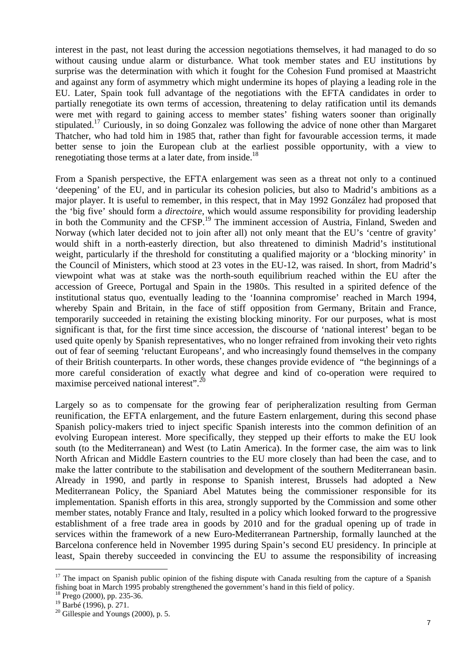interest in the past, not least during the accession negotiations themselves, it had managed to do so without causing undue alarm or disturbance. What took member states and EU institutions by surprise was the determination with which it fought for the Cohesion Fund promised at Maastricht and against any form of asymmetry which might undermine its hopes of playing a leading role in the EU. Later, Spain took full advantage of the negotiations with the EFTA candidates in order to partially renegotiate its own terms of accession, threatening to delay ratification until its demands were met with regard to gaining access to member states' fishing waters sooner than originally stipulated.<sup>17</sup> Curiously, in so doing Gonzalez was following the advice of none other than Margaret Thatcher, who had told him in 1985 that, rather than fight for favourable accession terms, it made better sense to join the European club at the earliest possible opportunity, with a view to renegotiating those terms at a later date, from inside.<sup>[18](#page-7-1)</sup>

From a Spanish perspective, the EFTA enlargement was seen as a threat not only to a continued 'deepening' of the EU, and in particular its cohesion policies, but also to Madrid's ambitions as a major player. It is useful to remember, in this respect, that in May 1992 González had proposed that the 'big five' should form a *directoire*, which would assume responsibility for providing leadership in both the Community and the CFSP.[19](#page-7-2) The imminent accession of Austria, Finland, Sweden and Norway (which later decided not to join after all) not only meant that the EU's 'centre of gravity' would shift in a north-easterly direction, but also threatened to diminish Madrid's institutional weight, particularly if the threshold for constituting a qualified majority or a 'blocking minority' in the Council of Ministers, which stood at 23 votes in the EU-12, was raised. In short, from Madrid's viewpoint what was at stake was the north-south equilibrium reached within the EU after the accession of Greece, Portugal and Spain in the 1980s. This resulted in a spirited defence of the institutional status quo, eventually leading to the 'Ioannina compromise' reached in March 1994, whereby Spain and Britain, in the face of stiff opposition from Germany, Britain and France, temporarily succeeded in retaining the existing blocking minority. For our purposes, what is most significant is that, for the first time since accession, the discourse of 'national interest' began to be used quite openly by Spanish representatives, who no longer refrained from invoking their veto rights out of fear of seeming 'reluctant Europeans', and who increasingly found themselves in the company of their British counterparts. In other words, these changes provide evidence of "the beginnings of a more careful consideration of exactly what degree and kind of co-operation were required to maximise perceived national interest".<sup>[20](#page-7-3)</sup>

Largely so as to compensate for the growing fear of peripheralization resulting from German reunification, the EFTA enlargement, and the future Eastern enlargement, during this second phase Spanish policy-makers tried to inject specific Spanish interests into the common definition of an evolving European interest. More specifically, they stepped up their efforts to make the EU look south (to the Mediterranean) and West (to Latin America). In the former case, the aim was to link North African and Middle Eastern countries to the EU more closely than had been the case, and to make the latter contribute to the stabilisation and development of the southern Mediterranean basin. Already in 1990, and partly in response to Spanish interest, Brussels had adopted a New Mediterranean Policy, the Spaniard Abel Matutes being the commissioner responsible for its implementation. Spanish efforts in this area, strongly supported by the Commission and some other member states, notably France and Italy, resulted in a policy which looked forward to the progressive establishment of a free trade area in goods by 2010 and for the gradual opening up of trade in services within the framework of a new Euro-Mediterranean Partnership, formally launched at the Barcelona conference held in November 1995 during Spain's second EU presidency. In principle at least, Spain thereby succeeded in convincing the EU to assume the responsibility of increasing

<span id="page-7-0"></span> $17$  The impact on Spanish public opinion of the fishing dispute with Canada resulting from the capture of a Spanish fishing boat in March 1995 probably strengthened the government's hand in this field of policy.

<span id="page-7-1"></span><sup>18</sup> Prego (2000), pp. 235-36.

<span id="page-7-2"></span><sup>19</sup> Barbé (1996), p. 271.

<span id="page-7-3"></span> $20$  Gillespie and Youngs (2000), p. 5.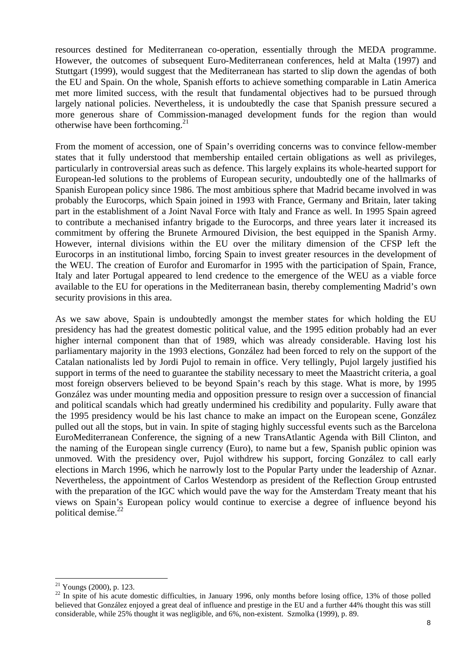resources destined for Mediterranean co-operation, essentially through the MEDA programme. However, the outcomes of subsequent Euro-Mediterranean conferences, held at Malta (1997) and Stuttgart (1999), would suggest that the Mediterranean has started to slip down the agendas of both the EU and Spain. On the whole, Spanish efforts to achieve something comparable in Latin America met more limited success, with the result that fundamental objectives had to be pursued through largely national policies. Nevertheless, it is undoubtedly the case that Spanish pressure secured a more generous share of Commission-managed development funds for the region than would otherwise have been forthcoming. $^{21}$  $^{21}$  $^{21}$ 

From the moment of accession, one of Spain's overriding concerns was to convince fellow-member states that it fully understood that membership entailed certain obligations as well as privileges, particularly in controversial areas such as defence. This largely explains its whole-hearted support for European-led solutions to the problems of European security, undoubtedly one of the hallmarks of Spanish European policy since 1986. The most ambitious sphere that Madrid became involved in was probably the Eurocorps, which Spain joined in 1993 with France, Germany and Britain, later taking part in the establishment of a Joint Naval Force with Italy and France as well. In 1995 Spain agreed to contribute a mechanised infantry brigade to the Eurocorps, and three years later it increased its commitment by offering the Brunete Armoured Division, the best equipped in the Spanish Army. However, internal divisions within the EU over the military dimension of the CFSP left the Eurocorps in an institutional limbo, forcing Spain to invest greater resources in the development of the WEU. The creation of Eurofor and Euromarfor in 1995 with the participation of Spain, France, Italy and later Portugal appeared to lend credence to the emergence of the WEU as a viable force available to the EU for operations in the Mediterranean basin, thereby complementing Madrid's own security provisions in this area.

As we saw above, Spain is undoubtedly amongst the member states for which holding the EU presidency has had the greatest domestic political value, and the 1995 edition probably had an ever higher internal component than that of 1989, which was already considerable. Having lost his parliamentary majority in the 1993 elections, González had been forced to rely on the support of the Catalan nationalists led by Jordi Pujol to remain in office. Very tellingly, Pujol largely justified his support in terms of the need to guarantee the stability necessary to meet the Maastricht criteria, a goal most foreign observers believed to be beyond Spain's reach by this stage. What is more, by 1995 González was under mounting media and opposition pressure to resign over a succession of financial and political scandals which had greatly undermined his credibility and popularity. Fully aware that the 1995 presidency would be his last chance to make an impact on the European scene, González pulled out all the stops, but in vain. In spite of staging highly successful events such as the Barcelona EuroMediterranean Conference, the signing of a new TransAtlantic Agenda with Bill Clinton, and the naming of the European single currency (Euro), to name but a few, Spanish public opinion was unmoved. With the presidency over, Pujol withdrew his support, forcing González to call early elections in March 1996, which he narrowly lost to the Popular Party under the leadership of Aznar. Nevertheless, the appointment of Carlos Westendorp as president of the Reflection Group entrusted with the preparation of the IGC which would pave the way for the Amsterdam Treaty meant that his views on Spain's European policy would continue to exercise a degree of influence beyond his political demise.<sup>[22](#page-8-1)</sup>

 $\overline{a}$  $21$  Youngs (2000), p. 123.

<span id="page-8-1"></span><span id="page-8-0"></span><sup>&</sup>lt;sup>22</sup> In spite of his acute domestic difficulties, in January 1996, only months before losing office, 13% of those polled believed that González enjoyed a great deal of influence and prestige in the EU and a further 44% thought this was still considerable, while 25% thought it was negligible, and 6%, non-existent. Szmolka (1999), p. 89.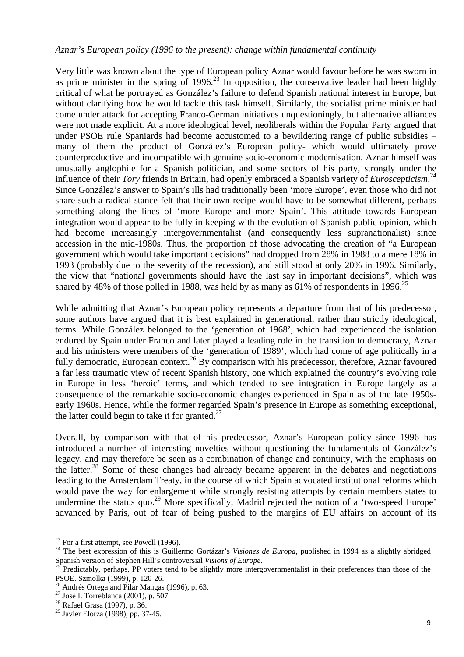#### *Aznar's European policy (1996 to the present): change within fundamental continuity*

Very little was known about the type of European policy Aznar would favour before he was sworn in as prime minister in the spring of  $1996<sup>23</sup>$  In opposition, the conservative leader had been highly critical of what he portrayed as González's failure to defend Spanish national interest in Europe, but without clarifying how he would tackle this task himself. Similarly, the socialist prime minister had come under attack for accepting Franco-German initiatives unquestioningly, but alternative alliances were not made explicit. At a more ideological level, neoliberals within the Popular Party argued that under PSOE rule Spaniards had become accustomed to a bewildering range of public subsidies – many of them the product of González's European policy- which would ultimately prove counterproductive and incompatible with genuine socio-economic modernisation. Aznar himself was unusually anglophile for a Spanish politician, and some sectors of his party, strongly under the influence of their *Tory* friends in Britain, had openly embraced a Spanish variety of *Euroscepticism*. [24](#page-9-1) Since González's answer to Spain's ills had traditionally been 'more Europe', even those who did not share such a radical stance felt that their own recipe would have to be somewhat different, perhaps something along the lines of 'more Europe and more Spain'. This attitude towards European integration would appear to be fully in keeping with the evolution of Spanish public opinion, which had become increasingly intergovernmentalist (and consequently less supranationalist) since accession in the mid-1980s. Thus, the proportion of those advocating the creation of "a European government which would take important decisions" had dropped from 28% in 1988 to a mere 18% in 1993 (probably due to the severity of the recession), and still stood at only 20% in 1996. Similarly, the view that "national governments should have the last say in important decisions", which was shared by 48% of those polled in 1988, was held by as many as 61% of respondents in 1996.<sup>[25](#page-9-2)</sup>

While admitting that Aznar's European policy represents a departure from that of his predecessor, some authors have argued that it is best explained in generational, rather than strictly ideological, terms. While González belonged to the 'generation of 1968', which had experienced the isolation endured by Spain under Franco and later played a leading role in the transition to democracy, Aznar and his ministers were members of the 'generation of 1989', which had come of age politically in a fully democratic, European context.<sup>26</sup> By comparison with his predecessor, therefore, Aznar favoured a far less traumatic view of recent Spanish history, one which explained the country's evolving role in Europe in less 'heroic' terms, and which tended to see integration in Europe largely as a consequence of the remarkable socio-economic changes experienced in Spain as of the late 1950searly 1960s. Hence, while the former regarded Spain's presence in Europe as something exceptional, the latter could begin to take it for granted.<sup>[27](#page-9-4)</sup>

Overall, by comparison with that of his predecessor, Aznar's European policy since 1996 has introduced a number of interesting novelties without questioning the fundamentals of González's legacy, and may therefore be seen as a combination of change and continuity, with the emphasis on the latter.<sup>28</sup> Some of these changes had already became apparent in the debates and negotiations leading to the Amsterdam Treaty, in the course of which Spain advocated institutional reforms which would pave the way for enlargement while strongly resisting attempts by certain members states to undermine the status quo.<sup>29</sup> More specifically, Madrid rejected the notion of a 'two-speed Europe' advanced by Paris, out of fear of being pushed to the margins of EU affairs on account of its

<span id="page-9-0"></span> $23$  For a first attempt, see Powell (1996).

<span id="page-9-1"></span><sup>&</sup>lt;sup>24</sup> The best expression of this is Guillermo Gortázar's *Visiones de Europa*, published in 1994 as a slightly abridged Spanish version of Stephen Hill's controversial *Visions of Europe*.<br><sup>25</sup> Predictably, perhaps, PP voters tend to be slightly more intergovernmentalist in their preferences than those of the

<span id="page-9-2"></span>PSOE. Szmolka (1999), p. 120-26.

<span id="page-9-3"></span><sup>&</sup>lt;sup>26</sup> Andrés Ortega and Pilar Mangas (1996), p. 63.

<span id="page-9-4"></span> $^{27}$  José I. Torreblanca (2001), p. 507.

<span id="page-9-5"></span><sup>28</sup> Rafael Grasa (1997), p. 36.

<span id="page-9-6"></span><sup>29</sup> Javier Elorza (1998), pp. 37-45.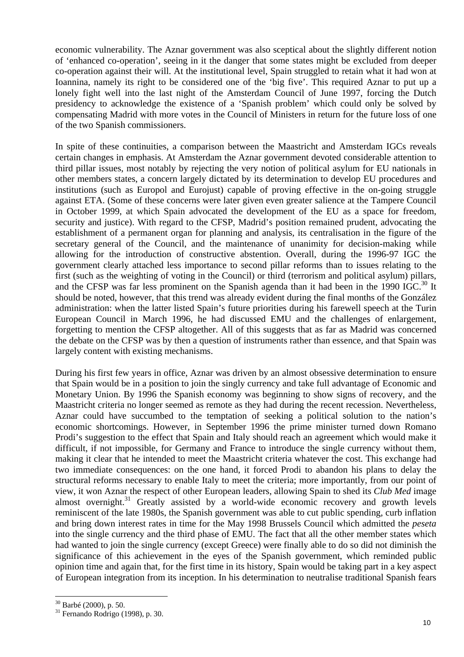economic vulnerability. The Aznar government was also sceptical about the slightly different notion of 'enhanced co-operation', seeing in it the danger that some states might be excluded from deeper co-operation against their will. At the institutional level, Spain struggled to retain what it had won at Ioannina, namely its right to be considered one of the 'big five'. This required Aznar to put up a lonely fight well into the last night of the Amsterdam Council of June 1997, forcing the Dutch presidency to acknowledge the existence of a 'Spanish problem' which could only be solved by compensating Madrid with more votes in the Council of Ministers in return for the future loss of one of the two Spanish commissioners.

In spite of these continuities, a comparison between the Maastricht and Amsterdam IGCs reveals certain changes in emphasis. At Amsterdam the Aznar government devoted considerable attention to third pillar issues, most notably by rejecting the very notion of political asylum for EU nationals in other members states, a concern largely dictated by its determination to develop EU procedures and institutions (such as Europol and Eurojust) capable of proving effective in the on-going struggle against ETA. (Some of these concerns were later given even greater salience at the Tampere Council in October 1999, at which Spain advocated the development of the EU as a space for freedom, security and justice). With regard to the CFSP, Madrid's position remained prudent, advocating the establishment of a permanent organ for planning and analysis, its centralisation in the figure of the secretary general of the Council, and the maintenance of unanimity for decision-making while allowing for the introduction of constructive abstention. Overall, during the 1996-97 IGC the government clearly attached less importance to second pillar reforms than to issues relating to the first (such as the weighting of voting in the Council) or third (terrorism and political asylum) pillars, and the CFSP was far less prominent on the Spanish agenda than it had been in the 1990 IGC.<sup>30</sup> It should be noted, however, that this trend was already evident during the final months of the González administration: when the latter listed Spain's future priorities during his farewell speech at the Turin European Council in March 1996, he had discussed EMU and the challenges of enlargement, forgetting to mention the CFSP altogether. All of this suggests that as far as Madrid was concerned the debate on the CFSP was by then a question of instruments rather than essence, and that Spain was largely content with existing mechanisms.

During his first few years in office, Aznar was driven by an almost obsessive determination to ensure that Spain would be in a position to join the singly currency and take full advantage of Economic and Monetary Union. By 1996 the Spanish economy was beginning to show signs of recovery, and the Maastricht criteria no longer seemed as remote as they had during the recent recession. Nevertheless, Aznar could have succumbed to the temptation of seeking a political solution to the nation's economic shortcomings. However, in September 1996 the prime minister turned down Romano Prodi's suggestion to the effect that Spain and Italy should reach an agreement which would make it difficult, if not impossible, for Germany and France to introduce the single currency without them, making it clear that he intended to meet the Maastricht criteria whatever the cost. This exchange had two immediate consequences: on the one hand, it forced Prodi to abandon his plans to delay the structural reforms necessary to enable Italy to meet the criteria; more importantly, from our point of view, it won Aznar the respect of other European leaders, allowing Spain to shed its *Club Med* image almost overnight.<sup>31</sup> Greatly assisted by a world-wide economic recovery and growth levels reminiscent of the late 1980s, the Spanish government was able to cut public spending, curb inflation and bring down interest rates in time for the May 1998 Brussels Council which admitted the *peseta* into the single currency and the third phase of EMU. The fact that all the other member states which had wanted to join the single currency (except Greece) were finally able to do so did not diminish the significance of this achievement in the eyes of the Spanish government, which reminded public opinion time and again that, for the first time in its history, Spain would be taking part in a key aspect of European integration from its inception. In his determination to neutralise traditional Spanish fears

<span id="page-10-0"></span> $30$  Barbé (2000), p. 50.

<span id="page-10-1"></span> $31$  Fernando Rodrigo (1998), p. 30.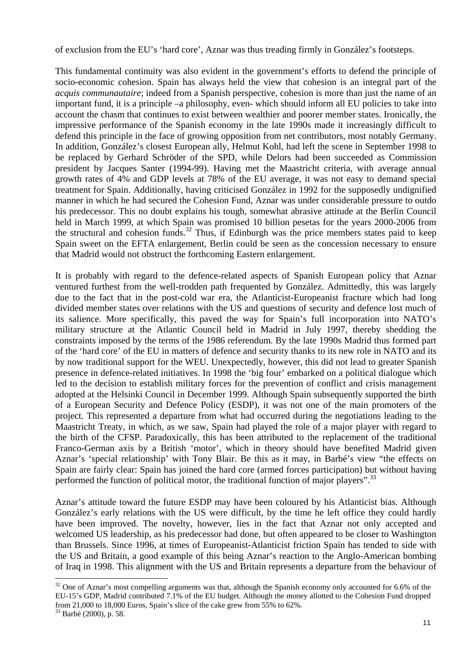of exclusion from the EU's 'hard core', Aznar was thus treading firmly in González's footsteps.

This fundamental continuity was also evident in the government's efforts to defend the principle of socio-economic cohesion. Spain has always held the view that cohesion is an integral part of the *acquis communautaire*; indeed from a Spanish perspective, cohesion is more than just the name of an important fund, it is a principle –a philosophy, even- which should inform all EU policies to take into account the chasm that continues to exist between wealthier and poorer member states. Ironically, the impressive performance of the Spanish economy in the late 1990s made it increasingly difficult to defend this principle in the face of growing opposition from net contributors, most notably Germany. In addition, González's closest European ally, Helmut Kohl, had left the scene in September 1998 to be replaced by Gerhard Schröder of the SPD, while Delors had been succeeded as Commission president by Jacques Santer (1994-99). Having met the Maastricht criteria, with average annual growth rates of 4% and GDP levels at 78% of the EU average, it was not easy to demand special treatment for Spain. Additionally, having criticised González in 1992 for the supposedly undignified manner in which he had secured the Cohesion Fund, Aznar was under considerable pressure to outdo his predecessor. This no doubt explains his tough, somewhat abrasive attitude at the Berlin Council held in March 1999, at which Spain was promised 10 billion pesetas for the years 2000-2006 from the structural and cohesion funds.[32](#page-11-0) Thus, if Edinburgh was the price members states paid to keep Spain sweet on the EFTA enlargement, Berlin could be seen as the concession necessary to ensure that Madrid would not obstruct the forthcoming Eastern enlargement.

It is probably with regard to the defence-related aspects of Spanish European policy that Aznar ventured furthest from the well-trodden path frequented by González. Admittedly, this was largely due to the fact that in the post-cold war era, the Atlanticist-Europeanist fracture which had long divided member states over relations with the US and questions of security and defence lost much of its salience. More specifically, this paved the way for Spain's full incorporation into NATO's military structure at the Atlantic Council held in Madrid in July 1997, thereby shedding the constraints imposed by the terms of the 1986 referendum. By the late 1990s Madrid thus formed part of the 'hard core' of the EU in matters of defence and security thanks to its new role in NATO and its by now traditional support for the WEU. Unexpectedly, however, this did not lead to greater Spanish presence in defence-related initiatives. In 1998 the 'big four' embarked on a political dialogue which led to the decision to establish military forces for the prevention of conflict and crisis management adopted at the Helsinki Council in December 1999. Although Spain subsequently supported the birth of a European Security and Defence Policy (ESDP), it was not one of the main promoters of the project. This represented a departure from what had occurred during the negotiations leading to the Maastricht Treaty, in which, as we saw, Spain had played the role of a major player with regard to the birth of the CFSP. Paradoxically, this has been attributed to the replacement of the traditional Franco-German axis by a British 'motor', which in theory should have benefited Madrid given Aznar's 'special relationship' with Tony Blair. Be this as it may, in Barbé's view "the effects on Spain are fairly clear: Spain has joined the hard core (armed forces participation) but without having performed the function of political motor, the traditional function of major players".<sup>[33](#page-11-1)</sup>

Aznar's attitude toward the future ESDP may have been coloured by his Atlanticist bias. Although González's early relations with the US were difficult, by the time he left office they could hardly have been improved. The novelty, however, lies in the fact that Aznar not only accepted and welcomed US leadership, as his predecessor had done, but often appeared to be closer to Washington than Brussels. Since 1996, at times of Europeanist-Atlanticist friction Spain has tended to side with the US and Britain, a good example of this being Aznar's reaction to the Anglo-American bombing of Iraq in 1998. This alignment with the US and Britain represents a departure from the behaviour of

<span id="page-11-0"></span> $32$  One of Aznar's most compelling arguments was that, although the Spanish economy only accounted for 6.6% of the EU-15's GDP, Madrid contributed 7.1% of the EU budget. Although the money allotted to the Cohesion Fund dropped from 21,000 to 18,000 Euros, Spain's slice of the cake grew from 55% to 62%.

<span id="page-11-1"></span><sup>33</sup> Barbé (2000), p. 58.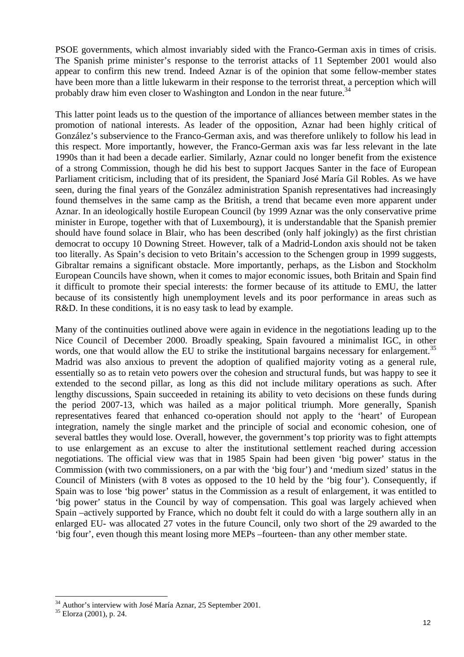PSOE governments, which almost invariably sided with the Franco-German axis in times of crisis. The Spanish prime minister's response to the terrorist attacks of 11 September 2001 would also appear to confirm this new trend. Indeed Aznar is of the opinion that some fellow-member states have been more than a little lukewarm in their response to the terrorist threat, a perception which will probably draw him even closer to Washington and London in the near future.<sup>[34](#page-12-0)</sup>

This latter point leads us to the question of the importance of alliances between member states in the promotion of national interests. As leader of the opposition, Aznar had been highly critical of González's subservience to the Franco-German axis, and was therefore unlikely to follow his lead in this respect. More importantly, however, the Franco-German axis was far less relevant in the late 1990s than it had been a decade earlier. Similarly, Aznar could no longer benefit from the existence of a strong Commission, though he did his best to support Jacques Santer in the face of European Parliament criticism, including that of its president, the Spaniard José María Gil Robles. As we have seen, during the final years of the González administration Spanish representatives had increasingly found themselves in the same camp as the British, a trend that became even more apparent under Aznar. In an ideologically hostile European Council (by 1999 Aznar was the only conservative prime minister in Europe, together with that of Luxembourg), it is understandable that the Spanish premier should have found solace in Blair, who has been described (only half jokingly) as the first christian democrat to occupy 10 Downing Street. However, talk of a Madrid-London axis should not be taken too literally. As Spain's decision to veto Britain's accession to the Schengen group in 1999 suggests, Gibraltar remains a significant obstacle. More importantly, perhaps, as the Lisbon and Stockholm European Councils have shown, when it comes to major economic issues, both Britain and Spain find it difficult to promote their special interests: the former because of its attitude to EMU, the latter because of its consistently high unemployment levels and its poor performance in areas such as R&D. In these conditions, it is no easy task to lead by example.

Many of the continuities outlined above were again in evidence in the negotiations leading up to the Nice Council of December 2000. Broadly speaking, Spain favoured a minimalist IGC, in other words, one that would allow the EU to strike the institutional bargains necessary for enlargement.<sup>[35](#page-12-1)</sup> Madrid was also anxious to prevent the adoption of qualified majority voting as a general rule, essentially so as to retain veto powers over the cohesion and structural funds, but was happy to see it extended to the second pillar, as long as this did not include military operations as such. After lengthy discussions, Spain succeeded in retaining its ability to veto decisions on these funds during the period 2007-13, which was hailed as a major political triumph. More generally, Spanish representatives feared that enhanced co-operation should not apply to the 'heart' of European integration, namely the single market and the principle of social and economic cohesion, one of several battles they would lose. Overall, however, the government's top priority was to fight attempts to use enlargement as an excuse to alter the institutional settlement reached during accession negotiations. The official view was that in 1985 Spain had been given 'big power' status in the Commission (with two commissioners, on a par with the 'big four') and 'medium sized' status in the Council of Ministers (with 8 votes as opposed to the 10 held by the 'big four'). Consequently, if Spain was to lose 'big power' status in the Commission as a result of enlargement, it was entitled to 'big power' status in the Council by way of compensation. This goal was largely achieved when Spain –actively supported by France, which no doubt felt it could do with a large southern ally in an enlarged EU- was allocated 27 votes in the future Council, only two short of the 29 awarded to the 'big four', even though this meant losing more MEPs –fourteen- than any other member state.

<span id="page-12-0"></span> $34$  Author's interview with José María Aznar, 25 September 2001.

<span id="page-12-1"></span><sup>35</sup> Elorza (2001), p. 24.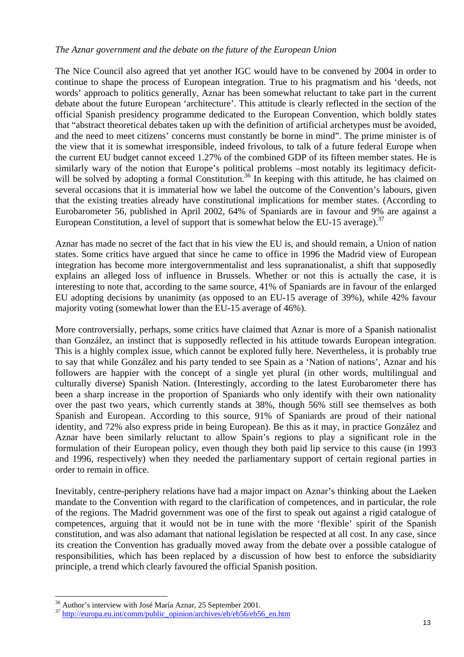#### *The Aznar government and the debate on the future of the European Union*

The Nice Council also agreed that yet another IGC would have to be convened by 2004 in order to continue to shape the process of European integration. True to his pragmatism and his 'deeds, not words' approach to politics generally, Aznar has been somewhat reluctant to take part in the current debate about the future European 'architecture'. This attitude is clearly reflected in the section of the official Spanish presidency programme dedicated to the European Convention, which boldly states that "abstract theoretical debates taken up with the definition of artificial archetypes must be avoided, and the need to meet citizens' concerns must constantly be borne in mind". The prime minister is of the view that it is somewhat irresponsible, indeed frivolous, to talk of a future federal Europe when the current EU budget cannot exceed 1.27% of the combined GDP of its fifteen member states. He is similarly wary of the notion that Europe's political problems –most notably its legitimacy deficitwill be solved by adopting a formal Constitution.<sup>36</sup> In keeping with this attitude, he has claimed on several occasions that it is immaterial how we label the outcome of the Convention's labours, given that the existing treaties already have constitutional implications for member states. (According to Eurobarometer 56, published in April 2002, 64% of Spaniards are in favour and 9% are against a European Constitution, a level of support that is somewhat below the EU-15 average).<sup>[37](#page-13-1)</sup>

Aznar has made no secret of the fact that in his view the EU is, and should remain, a Union of nation states. Some critics have argued that since he came to office in 1996 the Madrid view of European integration has become more intergovernmentalist and less supranationalist, a shift that supposedly explains an alleged loss of influence in Brussels. Whether or not this is actually the case, it is interesting to note that, according to the same source, 41% of Spaniards are in favour of the enlarged EU adopting decisions by unanimity (as opposed to an EU-15 average of 39%), while 42% favour majority voting (somewhat lower than the EU-15 average of 46%).

More controversially, perhaps, some critics have claimed that Aznar is more of a Spanish nationalist than González, an instinct that is supposedly reflected in his attitude towards European integration. This is a highly complex issue, which cannot be explored fully here. Nevertheless, it is probably true to say that while González and his party tended to see Spain as a 'Nation of nations', Aznar and his followers are happier with the concept of a single yet plural (in other words, multilingual and culturally diverse) Spanish Nation. (Interestingly, according to the latest Eurobarometer there has been a sharp increase in the proportion of Spaniards who only identify with their own nationality over the past two years, which currently stands at 38%, though 56% still see themselves as both Spanish and European. According to this source, 91% of Spaniards are proud of their national identity, and 72% also express pride in being European). Be this as it may, in practice González and Aznar have been similarly reluctant to allow Spain's regions to play a significant role in the formulation of their European policy, even though they both paid lip service to this cause (in 1993 and 1996, respectively) when they needed the parliamentary support of certain regional parties in order to remain in office.

Inevitably, centre-periphery relations have had a major impact on Aznar's thinking about the Laeken mandate to the Convention with regard to the clarification of competences, and in particular, the role of the regions. The Madrid government was one of the first to speak out against a rigid catalogue of competences, arguing that it would not be in tune with the more 'flexible' spirit of the Spanish constitution, and was also adamant that national legislation be respected at all cost. In any case, since its creation the Convention has gradually moved away from the debate over a possible catalogue of responsibilities, which has been replaced by a discussion of how best to enforce the subsidiarity principle, a trend which clearly favoured the official Spanish position.

<span id="page-13-0"></span><sup>&</sup>lt;sup>36</sup> Author's interview with José María Aznar, 25 September 2001.

<span id="page-13-1"></span><sup>&</sup>lt;sup>37</sup> [http://europa.eu.int/comm/public\\_opinion/archives/eb/eb56/eb56\\_en.htm](http://europa.eu.int/comm/public_opinion/archives/eb/eb56/eb56_en.htm)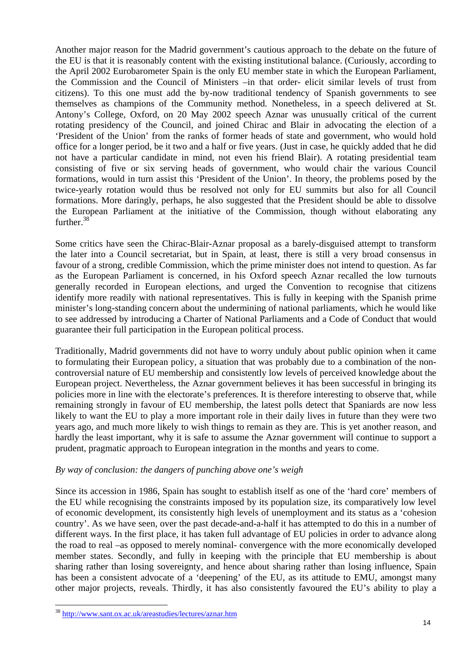Another major reason for the Madrid government's cautious approach to the debate on the future of the EU is that it is reasonably content with the existing institutional balance. (Curiously, according to the April 2002 Eurobarometer Spain is the only EU member state in which the European Parliament, the Commission and the Council of Ministers –in that order- elicit similar levels of trust from citizens). To this one must add the by-now traditional tendency of Spanish governments to see themselves as champions of the Community method. Nonetheless, in a speech delivered at St. Antony's College, Oxford, on 20 May 2002 speech Aznar was unusually critical of the current rotating presidency of the Council, and joined Chirac and Blair in advocating the election of a 'President of the Union' from the ranks of former heads of state and government, who would hold office for a longer period, be it two and a half or five years. (Just in case, he quickly added that he did not have a particular candidate in mind, not even his friend Blair). A rotating presidential team consisting of five or six serving heads of government, who would chair the various Council formations, would in turn assist this 'President of the Union'. In theory, the problems posed by the twice-yearly rotation would thus be resolved not only for EU summits but also for all Council formations. More daringly, perhaps, he also suggested that the President should be able to dissolve the European Parliament at the initiative of the Commission, though without elaborating any further.<sup>[38](#page-14-0)</sup>

Some critics have seen the Chirac-Blair-Aznar proposal as a barely-disguised attempt to transform the later into a Council secretariat, but in Spain, at least, there is still a very broad consensus in favour of a strong, credible Commission, which the prime minister does not intend to question. As far as the European Parliament is concerned, in his Oxford speech Aznar recalled the low turnouts generally recorded in European elections, and urged the Convention to recognise that citizens identify more readily with national representatives. This is fully in keeping with the Spanish prime minister's long-standing concern about the undermining of national parliaments, which he would like to see addressed by introducing a Charter of National Parliaments and a Code of Conduct that would guarantee their full participation in the European political process.

Traditionally, Madrid governments did not have to worry unduly about public opinion when it came to formulating their European policy, a situation that was probably due to a combination of the noncontroversial nature of EU membership and consistently low levels of perceived knowledge about the European project. Nevertheless, the Aznar government believes it has been successful in bringing its policies more in line with the electorate's preferences. It is therefore interesting to observe that, while remaining strongly in favour of EU membership, the latest polls detect that Spaniards are now less likely to want the EU to play a more important role in their daily lives in future than they were two years ago, and much more likely to wish things to remain as they are. This is yet another reason, and hardly the least important, why it is safe to assume the Aznar government will continue to support a prudent, pragmatic approach to European integration in the months and years to come.

#### *By way of conclusion: the dangers of punching above one's weigh*

Since its accession in 1986, Spain has sought to establish itself as one of the 'hard core' members of the EU while recognising the constraints imposed by its population size, its comparatively low level of economic development, its consistently high levels of unemployment and its status as a 'cohesion country'. As we have seen, over the past decade-and-a-half it has attempted to do this in a number of different ways. In the first place, it has taken full advantage of EU policies in order to advance along the road to real –as opposed to merely nominal- convergence with the more economically developed member states. Secondly, and fully in keeping with the principle that EU membership is about sharing rather than losing sovereignty, and hence about sharing rather than losing influence, Spain has been a consistent advocate of a 'deepening' of the EU, as its attitude to EMU, amongst many other major projects, reveals. Thirdly, it has also consistently favoured the EU's ability to play a

<span id="page-14-0"></span><sup>&</sup>lt;sup>38</sup> <http://www.sant.ox.ac.uk/areastudies/lectures/aznar.htm>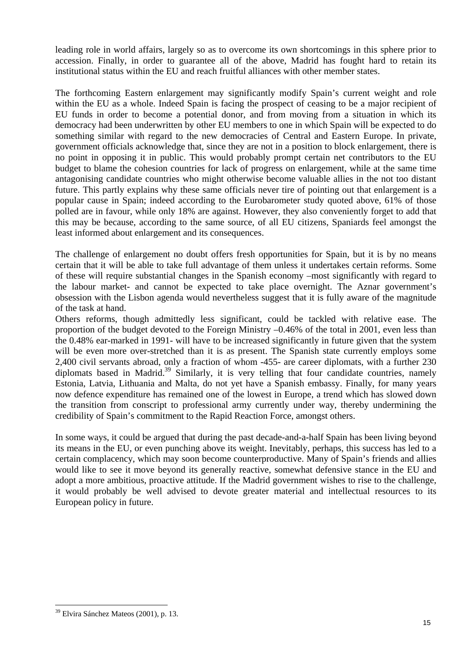leading role in world affairs, largely so as to overcome its own shortcomings in this sphere prior to accession. Finally, in order to guarantee all of the above, Madrid has fought hard to retain its institutional status within the EU and reach fruitful alliances with other member states.

The forthcoming Eastern enlargement may significantly modify Spain's current weight and role within the EU as a whole. Indeed Spain is facing the prospect of ceasing to be a major recipient of EU funds in order to become a potential donor, and from moving from a situation in which its democracy had been underwritten by other EU members to one in which Spain will be expected to do something similar with regard to the new democracies of Central and Eastern Europe. In private, government officials acknowledge that, since they are not in a position to block enlargement, there is no point in opposing it in public. This would probably prompt certain net contributors to the EU budget to blame the cohesion countries for lack of progress on enlargement, while at the same time antagonising candidate countries who might otherwise become valuable allies in the not too distant future. This partly explains why these same officials never tire of pointing out that enlargement is a popular cause in Spain; indeed according to the Eurobarometer study quoted above, 61% of those polled are in favour, while only 18% are against. However, they also conveniently forget to add that this may be because, according to the same source, of all EU citizens, Spaniards feel amongst the least informed about enlargement and its consequences.

The challenge of enlargement no doubt offers fresh opportunities for Spain, but it is by no means certain that it will be able to take full advantage of them unless it undertakes certain reforms. Some of these will require substantial changes in the Spanish economy –most significantly with regard to the labour market- and cannot be expected to take place overnight. The Aznar government's obsession with the Lisbon agenda would nevertheless suggest that it is fully aware of the magnitude of the task at hand.

Others reforms, though admittedly less significant, could be tackled with relative ease. The proportion of the budget devoted to the Foreign Ministry –0.46% of the total in 2001, even less than the 0.48% ear-marked in 1991- will have to be increased significantly in future given that the system will be even more over-stretched than it is as present. The Spanish state currently employs some 2,400 civil servants abroad, only a fraction of whom -455- are career diplomats, with a further 230 diplomats based in Madrid.<sup>39</sup> Similarly, it is very telling that four candidate countries, namely Estonia, Latvia, Lithuania and Malta, do not yet have a Spanish embassy. Finally, for many years now defence expenditure has remained one of the lowest in Europe, a trend which has slowed down the transition from conscript to professional army currently under way, thereby undermining the credibility of Spain's commitment to the Rapid Reaction Force, amongst others.

In some ways, it could be argued that during the past decade-and-a-half Spain has been living beyond its means in the EU, or even punching above its weight. Inevitably, perhaps, this success has led to a certain complacency, which may soon become counterproductive. Many of Spain's friends and allies would like to see it move beyond its generally reactive, somewhat defensive stance in the EU and adopt a more ambitious, proactive attitude. If the Madrid government wishes to rise to the challenge, it would probably be well advised to devote greater material and intellectual resources to its European policy in future.

<span id="page-15-0"></span><sup>39</sup> Elvira Sánchez Mateos (2001), p. 13.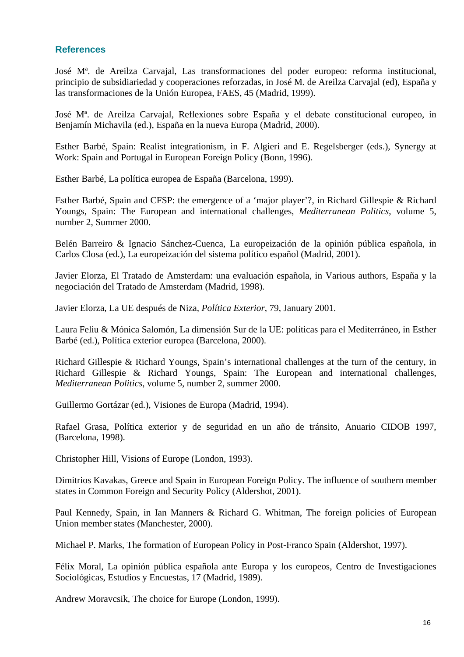### **References**

José Mª. de Areilza Carvajal, Las transformaciones del poder europeo: reforma institucional, principio de subsidiariedad y cooperaciones reforzadas, in José M. de Areilza Carvajal (ed), España y las transformaciones de la Unión Europea, FAES, 45 (Madrid, 1999).

José Mª. de Areilza Carvajal, Reflexiones sobre España y el debate constitucional europeo, in Benjamín Michavila (ed.), España en la nueva Europa (Madrid, 2000).

Esther Barbé, Spain: Realist integrationism, in F. Algieri and E. Regelsberger (eds.), Synergy at Work: Spain and Portugal in European Foreign Policy (Bonn, 1996).

Esther Barbé, La política europea de España (Barcelona, 1999).

Esther Barbé, Spain and CFSP: the emergence of a 'major player'?, in Richard Gillespie & Richard Youngs, Spain: The European and international challenges, *Mediterranean Politics*, volume 5, number 2, Summer 2000.

Belén Barreiro & Ignacio Sánchez-Cuenca, La europeización de la opinión pública española, in Carlos Closa (ed.), La europeización del sistema político español (Madrid, 2001).

Javier Elorza, El Tratado de Amsterdam: una evaluación española, in Various authors, España y la negociación del Tratado de Amsterdam (Madrid, 1998).

Javier Elorza, La UE después de Niza, *Política Exterior*, 79, January 2001.

Laura Feliu & Mónica Salomón, La dimensión Sur de la UE: políticas para el Mediterráneo, in Esther Barbé (ed.), Política exterior europea (Barcelona, 2000).

Richard Gillespie & Richard Youngs, Spain's international challenges at the turn of the century, in Richard Gillespie & Richard Youngs, Spain: The European and international challenges, *Mediterranean Politics*, volume 5, number 2, summer 2000.

Guillermo Gortázar (ed.), Visiones de Europa (Madrid, 1994).

Rafael Grasa, Política exterior y de seguridad en un año de tránsito, Anuario CIDOB 1997, (Barcelona, 1998).

Christopher Hill, Visions of Europe (London, 1993).

Dimitrios Kavakas, Greece and Spain in European Foreign Policy. The influence of southern member states in Common Foreign and Security Policy (Aldershot, 2001).

Paul Kennedy, Spain, in Ian Manners & Richard G. Whitman, The foreign policies of European Union member states (Manchester, 2000).

Michael P. Marks, The formation of European Policy in Post-Franco Spain (Aldershot, 1997).

Félix Moral, La opinión pública española ante Europa y los europeos, Centro de Investigaciones Sociológicas, Estudios y Encuestas, 17 (Madrid, 1989).

Andrew Moravcsik, The choice for Europe (London, 1999).